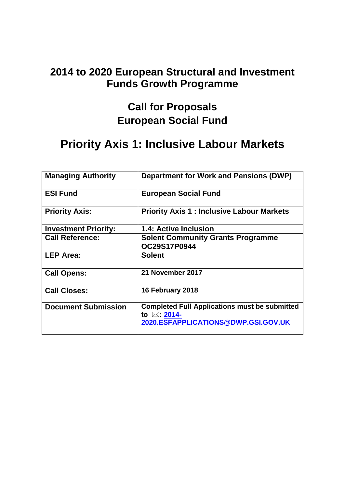### **2014 to 2020 European Structural and Investment Funds Growth Programme**

# **Call for Proposals European Social Fund**

# **Priority Axis 1: Inclusive Labour Markets**

| <b>Managing Authority</b>   | <b>Department for Work and Pensions (DWP)</b>                                                                         |
|-----------------------------|-----------------------------------------------------------------------------------------------------------------------|
| <b>ESI Fund</b>             | <b>European Social Fund</b>                                                                                           |
| <b>Priority Axis:</b>       | <b>Priority Axis 1: Inclusive Labour Markets</b>                                                                      |
| <b>Investment Priority:</b> | <b>1.4: Active Inclusion</b>                                                                                          |
| <b>Call Reference:</b>      | <b>Solent Community Grants Programme</b><br>OC29S17P0944                                                              |
| <b>LEP Area:</b>            | <b>Solent</b>                                                                                                         |
| <b>Call Opens:</b>          | 21 November 2017                                                                                                      |
| <b>Call Closes:</b>         | 16 February 2018                                                                                                      |
| <b>Document Submission</b>  | <b>Completed Full Applications must be submitted</b><br>to $\boxtimes$ : 2014-<br>2020.ESFAPPLICATIONS@DWP.GSI.GOV.UK |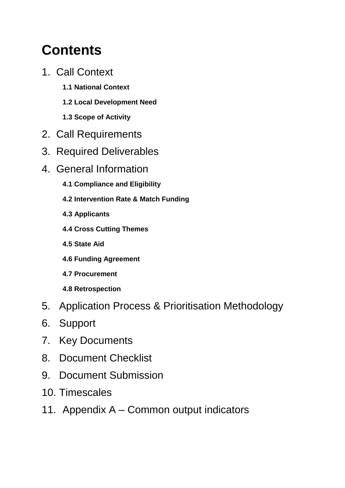# **Contents**

- 1. Call Context
	- **1.1 National Context**
	- **1.2 Local Development Need**
	- **1.3 Scope of Activity**
- 2. Call Requirements
- 3. Required Deliverables
- 4. General Information
	- **4.1 Compliance and Eligibility**
	- **4.2 Intervention Rate & Match Funding**
	- **4.3 Applicants**
	- **4.4 Cross Cutting Themes**
	- **4.5 State Aid**
	- **4.6 Funding Agreement**
	- **4.7 Procurement**
	- **4.8 Retrospection**
- 5. Application Process & Prioritisation Methodology
- 6. Support
- 7. Key Documents
- 8. Document Checklist
- 9. Document Submission
- 10. Timescales
- 11. Appendix A Common output indicators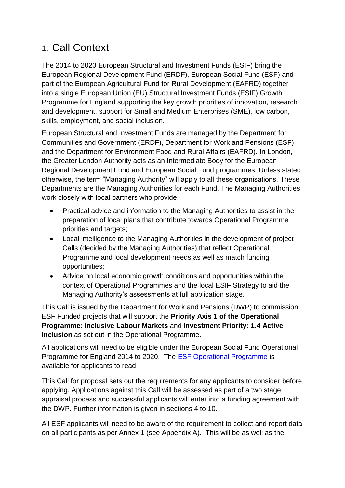# 1. Call Context

The 2014 to 2020 European Structural and Investment Funds (ESIF) bring the European Regional Development Fund (ERDF), European Social Fund (ESF) and part of the European Agricultural Fund for Rural Development (EAFRD) together into a single European Union (EU) Structural Investment Funds (ESIF) Growth Programme for England supporting the key growth priorities of innovation, research and development, support for Small and Medium Enterprises (SME), low carbon, skills, employment, and social inclusion.

European Structural and Investment Funds are managed by the Department for Communities and Government (ERDF), Department for Work and Pensions (ESF) and the Department for Environment Food and Rural Affairs (EAFRD). In London, the Greater London Authority acts as an Intermediate Body for the European Regional Development Fund and European Social Fund programmes. Unless stated otherwise, the term "Managing Authority" will apply to all these organisations. These Departments are the Managing Authorities for each Fund. The Managing Authorities work closely with local partners who provide:

- Practical advice and information to the Managing Authorities to assist in the preparation of local plans that contribute towards Operational Programme priorities and targets;
- Local intelligence to the Managing Authorities in the development of project Calls (decided by the Managing Authorities) that reflect Operational Programme and local development needs as well as match funding opportunities;
- Advice on local economic growth conditions and opportunities within the context of Operational Programmes and the local ESIF Strategy to aid the Managing Authority's assessments at full application stage.

This Call is issued by the Department for Work and Pensions (DWP) to commission ESF Funded projects that will support the **Priority Axis 1 of the Operational Programme: Inclusive Labour Markets** and **Investment Priority: 1.4 Active Inclusion** as set out in the Operational Programme.

All applications will need to be eligible under the European Social Fund Operational Programme for England 2014 to 2020. The [ESF Operational Programme](https://www.gov.uk/government/publications/european-social-fund-operational-programme-2014-to-2020) is available for applicants to read.

This Call for proposal sets out the requirements for any applicants to consider before applying. Applications against this Call will be assessed as part of a two stage appraisal process and successful applicants will enter into a funding agreement with the DWP. Further information is given in sections 4 to 10.

All ESF applicants will need to be aware of the requirement to collect and report data on all participants as per Annex 1 (see Appendix A). This will be as well as the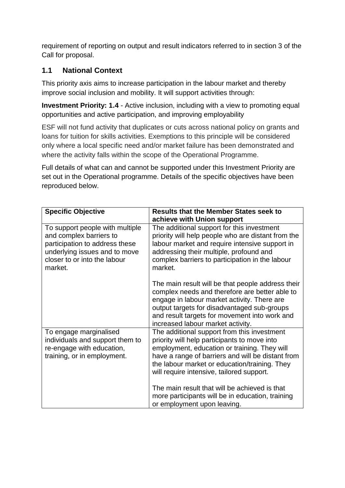requirement of reporting on output and result indicators referred to in section 3 of the Call for proposal.

#### **1.1 National Context**

This priority axis aims to increase participation in the labour market and thereby improve social inclusion and mobility. It will support activities through:

**Investment Priority: 1.4** - Active inclusion, including with a view to promoting equal opportunities and active participation, and improving employability

ESF will not fund activity that duplicates or cuts across national policy on grants and loans for tuition for skills activities. Exemptions to this principle will be considered only where a local specific need and/or market failure has been demonstrated and where the activity falls within the scope of the Operational Programme.

Full details of what can and cannot be supported under this Investment Priority are set out in the Operational programme. Details of the specific objectives have been reproduced below.

| <b>Specific Objective</b>                                                                                                                                                | <b>Results that the Member States seek to</b><br>achieve with Union support                                                                                                                                                                                                                                                                     |
|--------------------------------------------------------------------------------------------------------------------------------------------------------------------------|-------------------------------------------------------------------------------------------------------------------------------------------------------------------------------------------------------------------------------------------------------------------------------------------------------------------------------------------------|
| To support people with multiple<br>and complex barriers to<br>participation to address these<br>underlying issues and to move<br>closer to or into the labour<br>market. | The additional support for this investment<br>priority will help people who are distant from the<br>labour market and require intensive support in<br>addressing their multiple, profound and<br>complex barriers to participation in the labour<br>market.                                                                                     |
|                                                                                                                                                                          | The main result will be that people address their<br>complex needs and therefore are better able to<br>engage in labour market activity. There are<br>output targets for disadvantaged sub-groups<br>and result targets for movement into work and<br>increased labour market activity.                                                         |
| To engage marginalised<br>individuals and support them to<br>re-engage with education,<br>training, or in employment.                                                    | The additional support from this investment<br>priority will help participants to move into<br>employment, education or training. They will<br>have a range of barriers and will be distant from<br>the labour market or education/training. They<br>will require intensive, tailored support.<br>The main result that will be achieved is that |
|                                                                                                                                                                          | more participants will be in education, training<br>or employment upon leaving.                                                                                                                                                                                                                                                                 |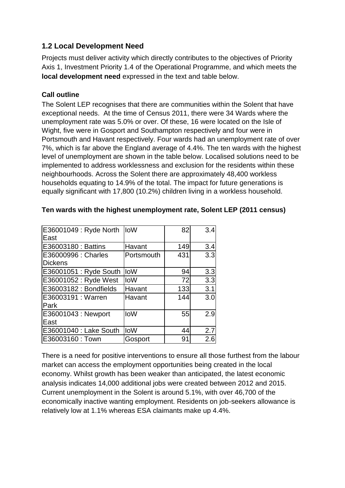#### **1.2 Local Development Need**

Projects must deliver activity which directly contributes to the objectives of Priority Axis 1, Investment Priority 1.4 of the Operational Programme, and which meets the **local development need** expressed in the text and table below.

#### **Call outline**

The Solent LEP recognises that there are communities within the Solent that have exceptional needs. At the time of Census 2011, there were 34 Wards where the unemployment rate was 5.0% or over. Of these, 16 were located on the Isle of Wight, five were in Gosport and Southampton respectively and four were in Portsmouth and Havant respectively. Four wards had an unemployment rate of over 7%, which is far above the England average of 4.4%. The ten wards with the highest level of unemployment are shown in the table below. Localised solutions need to be implemented to address worklessness and exclusion for the residents within these neighbourhoods. Across the Solent there are approximately 48,400 workless households equating to 14.9% of the total. The impact for future generations is equally significant with 17,800 (10.2%) children living in a workless household.

| E36001049 : Ryde North | IoW        | 82  | 3.4 |
|------------------------|------------|-----|-----|
| East                   |            |     |     |
| E36003180 : Battins    | Havant     | 149 | 3.4 |
| E36000996 : Charles    | Portsmouth | 431 | 3.3 |
| <b>Dickens</b>         |            |     |     |
| E36001051 : Ryde South | loW        | 94  | 3.3 |
| E36001052 : Ryde West  | IoW        | 72  | 3.3 |
| E36003182 : Bondfields | Havant     | 133 | 3.1 |
| E36003191 : Warren     | Havant     | 144 | 3.0 |
| Park                   |            |     |     |
| E36001043 : Newport    | <b>loW</b> | 55  | 2.9 |
| East                   |            |     |     |
| E36001040 : Lake South | loW        | 44  | 2.7 |
| E36003160: Town        | Gosport    | 91  | 2.6 |

#### **Ten wards with the highest unemployment rate, Solent LEP (2011 census)**

There is a need for positive interventions to ensure all those furthest from the labour market can access the employment opportunities being created in the local economy. Whilst growth has been weaker than anticipated, the latest economic analysis indicates 14,000 additional jobs were created between 2012 and 2015. Current unemployment in the Solent is around 5.1%, with over 46,700 of the economically inactive wanting employment. Residents on job-seekers allowance is relatively low at 1.1% whereas ESA claimants make up 4.4%.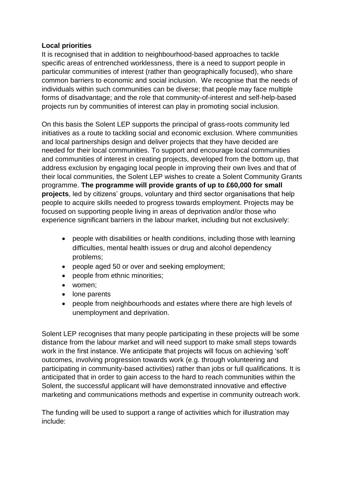#### **Local priorities**

It is recognised that in addition to neighbourhood-based approaches to tackle specific areas of entrenched worklessness, there is a need to support people in particular communities of interest (rather than geographically focused), who share common barriers to economic and social inclusion. We recognise that the needs of individuals within such communities can be diverse; that people may face multiple forms of disadvantage; and the role that community-of-interest and self-help-based projects run by communities of interest can play in promoting social inclusion.

On this basis the Solent LEP supports the principal of grass-roots community led initiatives as a route to tackling social and economic exclusion. Where communities and local partnerships design and deliver projects that they have decided are needed for their local communities. To support and encourage local communities and communities of interest in creating projects, developed from the bottom up, that address exclusion by engaging local people in improving their own lives and that of their local communities, the Solent LEP wishes to create a Solent Community Grants programme. **The programme will provide grants of up to £60,000 for small projects**, led by citizens' groups, voluntary and third sector organisations that help people to acquire skills needed to progress towards employment. Projects may be focused on supporting people living in areas of deprivation and/or those who experience significant barriers in the labour market, including but not exclusively:

- people with disabilities or health conditions, including those with learning difficulties, mental health issues or drug and alcohol dependency problems;
- people aged 50 or over and seeking employment;
- people from ethnic minorities;
- women;
- lone parents
- people from neighbourhoods and estates where there are high levels of unemployment and deprivation.

Solent LEP recognises that many people participating in these projects will be some distance from the labour market and will need support to make small steps towards work in the first instance. We anticipate that projects will focus on achieving 'soft' outcomes, involving progression towards work (e.g. through volunteering and participating in community-based activities) rather than jobs or full qualifications. It is anticipated that in order to gain access to the hard to reach communities within the Solent, the successful applicant will have demonstrated innovative and effective marketing and communications methods and expertise in community outreach work.

The funding will be used to support a range of activities which for illustration may include: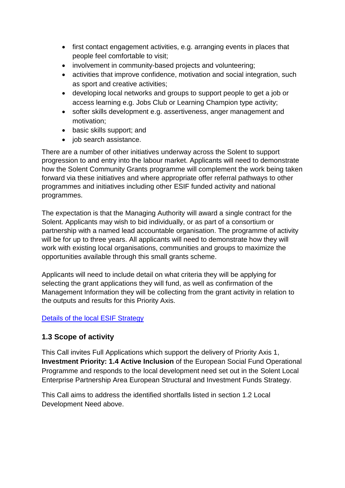- first contact engagement activities, e.g. arranging events in places that people feel comfortable to visit;
- involvement in community-based projects and volunteering;
- activities that improve confidence, motivation and social integration, such as sport and creative activities;
- developing local networks and groups to support people to get a job or access learning e.g. Jobs Club or Learning Champion type activity;
- softer skills development e.g. assertiveness, anger management and motivation;
- basic skills support; and
- job search assistance.

There are a number of other initiatives underway across the Solent to support progression to and entry into the labour market. Applicants will need to demonstrate how the Solent Community Grants programme will complement the work being taken forward via these initiatives and where appropriate offer referral pathways to other programmes and initiatives including other ESIF funded activity and national programmes.

The expectation is that the Managing Authority will award a single contract for the Solent. Applicants may wish to bid individually, or as part of a consortium or partnership with a named lead accountable organisation. The programme of activity will be for up to three years. All applicants will need to demonstrate how they will work with existing local organisations, communities and groups to maximize the opportunities available through this small grants scheme.

Applicants will need to include detail on what criteria they will be applying for selecting the grant applications they will fund, as well as confirmation of the Management Information they will be collecting from the grant activity in relation to the outputs and results for this Priority Axis.

#### [Details of the local ESIF Strategy](https://solentlep.org.uk/media/1613/solent-eu-sif-strategy-april-2016.pdf)

#### **1.3 Scope of activity**

This Call invites Full Applications which support the delivery of Priority Axis 1, **Investment Priority: 1.4 Active Inclusion** of the European Social Fund Operational Programme and responds to the local development need set out in the Solent Local Enterprise Partnership Area European Structural and Investment Funds Strategy.

This Call aims to address the identified shortfalls listed in section 1.2 Local Development Need above.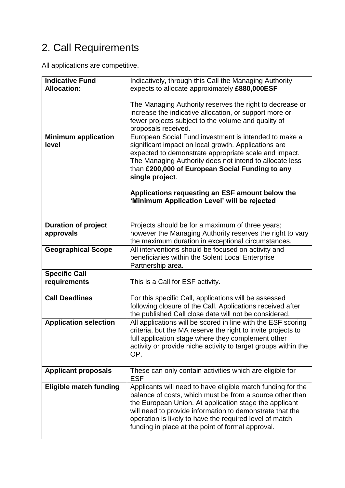# 2. Call Requirements

All applications are competitive.

| <b>Indicative Fund</b><br><b>Allocation:</b> | Indicatively, through this Call the Managing Authority<br>expects to allocate approximately £880,000ESF                                                                                                                                                                                                                                                       |  |
|----------------------------------------------|---------------------------------------------------------------------------------------------------------------------------------------------------------------------------------------------------------------------------------------------------------------------------------------------------------------------------------------------------------------|--|
|                                              | The Managing Authority reserves the right to decrease or<br>increase the indicative allocation, or support more or<br>fewer projects subject to the volume and quality of<br>proposals received.                                                                                                                                                              |  |
| <b>Minimum application</b><br>level          | European Social Fund investment is intended to make a<br>significant impact on local growth. Applications are<br>expected to demonstrate appropriate scale and impact.<br>The Managing Authority does not intend to allocate less<br>than £200,000 of European Social Funding to any<br>single project.                                                       |  |
|                                              | Applications requesting an ESF amount below the<br>'Minimum Application Level' will be rejected                                                                                                                                                                                                                                                               |  |
| <b>Duration of project</b><br>approvals      | Projects should be for a maximum of three years;<br>however the Managing Authority reserves the right to vary<br>the maximum duration in exceptional circumstances.                                                                                                                                                                                           |  |
| <b>Geographical Scope</b>                    | All interventions should be focused on activity and<br>beneficiaries within the Solent Local Enterprise<br>Partnership area.                                                                                                                                                                                                                                  |  |
| <b>Specific Call</b><br>requirements         | This is a Call for ESF activity.                                                                                                                                                                                                                                                                                                                              |  |
| <b>Call Deadlines</b>                        | For this specific Call, applications will be assessed<br>following closure of the Call. Applications received after<br>the published Call close date will not be considered.                                                                                                                                                                                  |  |
| <b>Application selection</b>                 | All applications will be scored in line with the ESF scoring<br>criteria, but the MA reserve the right to invite projects to<br>full application stage where they complement other<br>activity or provide niche activity to target groups within the<br>OP.                                                                                                   |  |
| <b>Applicant proposals</b>                   | These can only contain activities which are eligible for<br><b>ESF</b>                                                                                                                                                                                                                                                                                        |  |
| <b>Eligible match funding</b>                | Applicants will need to have eligible match funding for the<br>balance of costs, which must be from a source other than<br>the European Union. At application stage the applicant<br>will need to provide information to demonstrate that the<br>operation is likely to have the required level of match<br>funding in place at the point of formal approval. |  |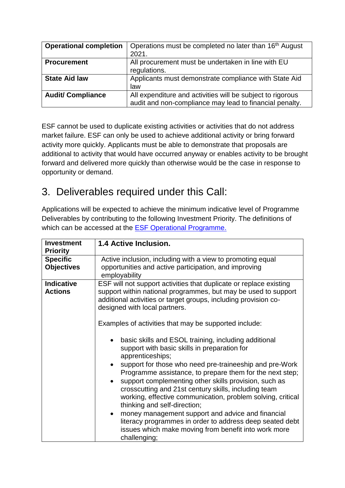| <b>Operational completion</b> | Operations must be completed no later than 16 <sup>th</sup> August<br>2021.                                           |
|-------------------------------|-----------------------------------------------------------------------------------------------------------------------|
| <b>Procurement</b>            | All procurement must be undertaken in line with EU<br>regulations.                                                    |
| <b>State Aid law</b>          | Applicants must demonstrate compliance with State Aid<br>law                                                          |
| <b>Audit/ Compliance</b>      | All expenditure and activities will be subject to rigorous<br>audit and non-compliance may lead to financial penalty. |

ESF cannot be used to duplicate existing activities or activities that do not address market failure. ESF can only be used to achieve additional activity or bring forward activity more quickly. Applicants must be able to demonstrate that proposals are additional to activity that would have occurred anyway or enables activity to be brought forward and delivered more quickly than otherwise would be the case in response to opportunity or demand.

# 3. Deliverables required under this Call:

Applications will be expected to achieve the minimum indicative level of Programme Deliverables by contributing to the following Investment Priority. The definitions of which can be accessed at the **ESF Operational Programme.** 

| <b>Investment</b><br><b>Priority</b> | 1.4 Active Inclusion.                                                                                                                                                                                                                                                                                                                                                                                                                                                                                                                                                                                                                                                                                                                                    |  |
|--------------------------------------|----------------------------------------------------------------------------------------------------------------------------------------------------------------------------------------------------------------------------------------------------------------------------------------------------------------------------------------------------------------------------------------------------------------------------------------------------------------------------------------------------------------------------------------------------------------------------------------------------------------------------------------------------------------------------------------------------------------------------------------------------------|--|
| <b>Specific</b>                      | Active inclusion, including with a view to promoting equal                                                                                                                                                                                                                                                                                                                                                                                                                                                                                                                                                                                                                                                                                               |  |
| <b>Objectives</b>                    | opportunities and active participation, and improving<br>employability                                                                                                                                                                                                                                                                                                                                                                                                                                                                                                                                                                                                                                                                                   |  |
| <b>Indicative</b><br><b>Actions</b>  | ESF will not support activities that duplicate or replace existing<br>support within national programmes, but may be used to support<br>additional activities or target groups, including provision co-<br>designed with local partners.                                                                                                                                                                                                                                                                                                                                                                                                                                                                                                                 |  |
|                                      | Examples of activities that may be supported include:<br>basic skills and ESOL training, including additional<br>$\bullet$<br>support with basic skills in preparation for<br>apprenticeships;<br>support for those who need pre-traineeship and pre-Work<br>Programme assistance, to prepare them for the next step;<br>support complementing other skills provision, such as<br>$\bullet$<br>crosscutting and 21st century skills, including team<br>working, effective communication, problem solving, critical<br>thinking and self-direction;<br>money management support and advice and financial<br>$\bullet$<br>literacy programmes in order to address deep seated debt<br>issues which make moving from benefit into work more<br>challenging; |  |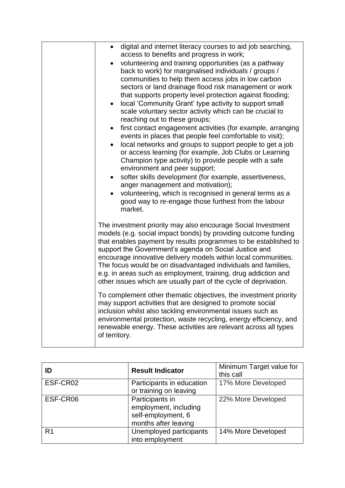| digital and internet literacy courses to aid job searching,<br>$\bullet$<br>access to benefits and progress in work;<br>volunteering and training opportunities (as a pathway<br>back to work) for marginalised individuals / groups /<br>communities to help them access jobs in low carbon<br>sectors or land drainage flood risk management or work<br>that supports property level protection against flooding;<br>local 'Community Grant' type activity to support small<br>$\bullet$<br>scale voluntary sector activity which can be crucial to<br>reaching out to these groups;<br>first contact engagement activities (for example, arranging<br>$\bullet$<br>events in places that people feel comfortable to visit);<br>local networks and groups to support people to get a job<br>$\bullet$<br>or access learning (for example, Job Clubs or Learning<br>Champion type activity) to provide people with a safe<br>environment and peer support;<br>softer skills development (for example, assertiveness,<br>anger management and motivation);<br>volunteering, which is recognised in general terms as a<br>good way to re-engage those furthest from the labour<br>market. |
|------------------------------------------------------------------------------------------------------------------------------------------------------------------------------------------------------------------------------------------------------------------------------------------------------------------------------------------------------------------------------------------------------------------------------------------------------------------------------------------------------------------------------------------------------------------------------------------------------------------------------------------------------------------------------------------------------------------------------------------------------------------------------------------------------------------------------------------------------------------------------------------------------------------------------------------------------------------------------------------------------------------------------------------------------------------------------------------------------------------------------------------------------------------------------------------|
| The investment priority may also encourage Social Investment<br>models (e.g. social impact bonds) by providing outcome funding<br>that enables payment by results programmes to be established to<br>support the Government's agenda on Social Justice and<br>encourage innovative delivery models within local communities.<br>The focus would be on disadvantaged individuals and families,<br>e.g. in areas such as employment, training, drug addiction and<br>other issues which are usually part of the cycle of deprivation.                                                                                                                                                                                                                                                                                                                                                                                                                                                                                                                                                                                                                                                      |
| To complement other thematic objectives, the investment priority<br>may support activities that are designed to promote social<br>inclusion whilst also tackling environmental issues such as<br>environmental protection, waste recycling, energy efficiency, and<br>renewable energy. These activities are relevant across all types<br>of territory.                                                                                                                                                                                                                                                                                                                                                                                                                                                                                                                                                                                                                                                                                                                                                                                                                                  |

| ID             | <b>Result Indicator</b>                                                                | Minimum Target value for<br>this call |
|----------------|----------------------------------------------------------------------------------------|---------------------------------------|
| ESF-CR02       | Participants in education<br>or training on leaving                                    | 17% More Developed                    |
| ESF-CR06       | Participants in<br>employment, including<br>self-employment, 6<br>months after leaving | 22% More Developed                    |
| R <sub>1</sub> | Unemployed participants<br>into employment                                             | 14% More Developed                    |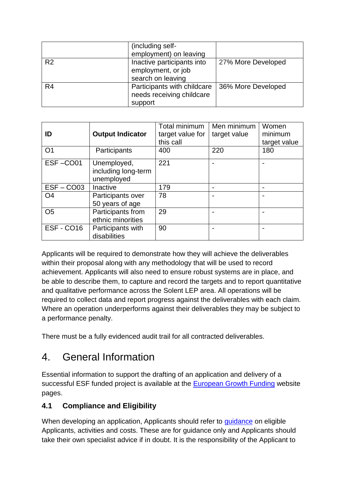|                | (including self-<br>employment) on leaving                            |                    |
|----------------|-----------------------------------------------------------------------|--------------------|
| R <sub>2</sub> | Inactive participants into<br>employment, or job<br>search on leaving | 27% More Developed |
| R <sub>4</sub> | Participants with childcare<br>needs receiving childcare<br>support   | 36% More Developed |

| ID             | <b>Output Indicator</b>                          | Total minimum<br>target value for<br>this call | Men minimum<br>target value | Women<br>minimum<br>target value |
|----------------|--------------------------------------------------|------------------------------------------------|-----------------------------|----------------------------------|
| O <sub>1</sub> | Participants                                     | 400                                            | 220                         | 180                              |
| ESF-CO01       | Unemployed,<br>including long-term<br>unemployed | 221                                            |                             |                                  |
| $ESF - COO3$   | Inactive                                         | 179                                            |                             |                                  |
| O <sub>4</sub> | Participants over<br>50 years of age             | 78                                             |                             |                                  |
| O <sub>5</sub> | Participants from<br>ethnic minorities           | 29                                             |                             |                                  |
| ESF-CO16       | Participants with<br>disabilities                | 90                                             |                             |                                  |

Applicants will be required to demonstrate how they will achieve the deliverables within their proposal along with any methodology that will be used to record achievement. Applicants will also need to ensure robust systems are in place, and be able to describe them, to capture and record the targets and to report quantitative and qualitative performance across the Solent LEP area. All operations will be required to collect data and report progress against the deliverables with each claim. Where an operation underperforms against their deliverables they may be subject to a performance penalty.

There must be a fully evidenced audit trail for all contracted deliverables.

# 4. General Information

Essential information to support the drafting of an application and delivery of a successful ESF funded project is available at the [European Growth Funding](https://www.gov.uk/european-growth-funding) website pages.

#### **4.1 Compliance and Eligibility**

When developing an application, Applicants should refer to [guidance](https://www.gov.uk/government/publications/european-structural-and-investment-funds-programme-guidance) on eligible Applicants, activities and costs. These are for guidance only and Applicants should take their own specialist advice if in doubt. It is the responsibility of the Applicant to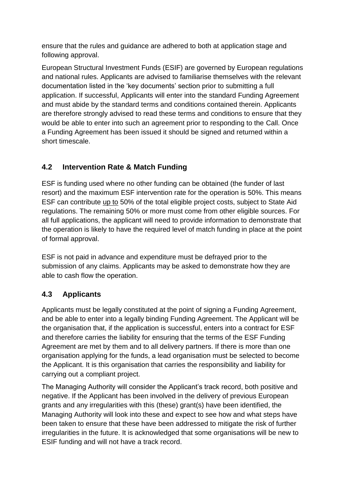ensure that the rules and guidance are adhered to both at application stage and following approval.

European Structural Investment Funds (ESIF) are governed by European regulations and national rules. Applicants are advised to familiarise themselves with the relevant documentation listed in the 'key documents' section prior to submitting a full application. If successful, Applicants will enter into the standard Funding Agreement and must abide by the standard terms and conditions contained therein. Applicants are therefore strongly advised to read these terms and conditions to ensure that they would be able to enter into such an agreement prior to responding to the Call. Once a Funding Agreement has been issued it should be signed and returned within a short timescale.

#### **4.2 Intervention Rate & Match Funding**

ESF is funding used where no other funding can be obtained (the funder of last resort) and the maximum ESF intervention rate for the operation is 50%. This means ESF can contribute up to 50% of the total eligible project costs, subject to State Aid regulations. The remaining 50% or more must come from other eligible sources. For all full applications, the applicant will need to provide information to demonstrate that the operation is likely to have the required level of match funding in place at the point of formal approval.

ESF is not paid in advance and expenditure must be defrayed prior to the submission of any claims. Applicants may be asked to demonstrate how they are able to cash flow the operation.

#### **4.3 Applicants**

Applicants must be legally constituted at the point of signing a Funding Agreement, and be able to enter into a legally binding Funding Agreement. The Applicant will be the organisation that, if the application is successful, enters into a contract for ESF and therefore carries the liability for ensuring that the terms of the ESF Funding Agreement are met by them and to all delivery partners. If there is more than one organisation applying for the funds, a lead organisation must be selected to become the Applicant. It is this organisation that carries the responsibility and liability for carrying out a compliant project.

The Managing Authority will consider the Applicant's track record, both positive and negative. If the Applicant has been involved in the delivery of previous European grants and any irregularities with this (these) grant(s) have been identified, the Managing Authority will look into these and expect to see how and what steps have been taken to ensure that these have been addressed to mitigate the risk of further irregularities in the future. It is acknowledged that some organisations will be new to ESIF funding and will not have a track record.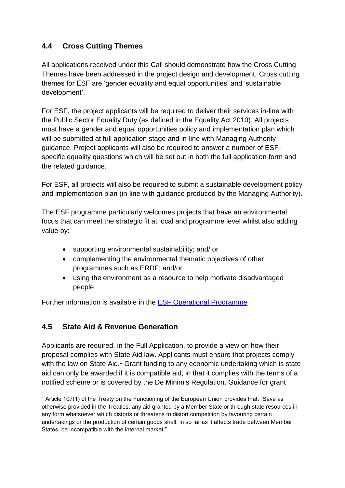#### **4.4 Cross Cutting Themes**

All applications received under this Call should demonstrate how the Cross Cutting Themes have been addressed in the project design and development. Cross cutting themes for ESF are 'gender equality and equal opportunities' and 'sustainable development'.

For ESF, the project applicants will be required to deliver their services in-line with the Public Sector Equality Duty (as defined in the Equality Act 2010). All projects must have a gender and equal opportunities policy and implementation plan which will be submitted at full application stage and in-line with Managing Authority guidance. Project applicants will also be required to answer a number of ESFspecific equality questions which will be set out in both the full application form and the related guidance.

For ESF, all projects will also be required to submit a sustainable development policy and implementation plan (in-line with guidance produced by the Managing Authority).

The ESF programme particularly welcomes projects that have an environmental focus that can meet the strategic fit at local and programme level whilst also adding value by:

- supporting environmental sustainability; and/ or
- complementing the environmental thematic objectives of other programmes such as ERDF; and/or
- using the environment as a resource to help motivate disadvantaged people

Further information is available in the [ESF Operational Programme](https://www.gov.uk/government/publications/european-social-fund-operational-programme-2014-to-2020)

#### **4.5 State Aid & Revenue Generation**

1

Applicants are required, in the Full Application, to provide a view on how their proposal complies with State Aid law. Applicants must ensure that projects comply with the law on State Aid.<sup>1</sup> Grant funding to any economic undertaking which is state aid can only be awarded if it is compatible aid, in that it complies with the terms of a notified scheme or is covered by the De Minimis Regulation. Guidance for grant

<sup>&</sup>lt;sup>1</sup> Article 107(1) of the Treaty on the Functioning of the European Union provides that: "Save as otherwise provided in the Treaties, any aid granted by a Member State or through state resources in any form whatsoever which distorts or threatens to distort competition by favouring certain undertakings or the production of certain goods shall, in so far as it affects trade between Member States, be incompatible with the internal market."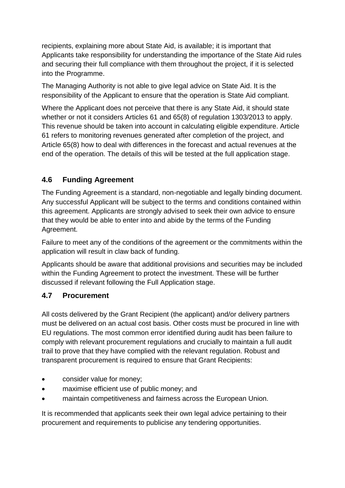recipients, explaining more about State Aid, is available; it is important that Applicants take responsibility for understanding the importance of the State Aid rules and securing their full compliance with them throughout the project, if it is selected into the Programme.

The Managing Authority is not able to give legal advice on State Aid. It is the responsibility of the Applicant to ensure that the operation is State Aid compliant.

Where the Applicant does not perceive that there is any State Aid, it should state whether or not it considers Articles 61 and 65(8) of regulation 1303/2013 to apply. This revenue should be taken into account in calculating eligible expenditure. Article 61 refers to monitoring revenues generated after completion of the project, and Article 65(8) how to deal with differences in the forecast and actual revenues at the end of the operation. The details of this will be tested at the full application stage.

#### **4.6 Funding Agreement**

The Funding Agreement is a standard, non-negotiable and legally binding document. Any successful Applicant will be subject to the terms and conditions contained within this agreement. Applicants are strongly advised to seek their own advice to ensure that they would be able to enter into and abide by the terms of the Funding Agreement.

Failure to meet any of the conditions of the agreement or the commitments within the application will result in claw back of funding.

Applicants should be aware that additional provisions and securities may be included within the Funding Agreement to protect the investment. These will be further discussed if relevant following the Full Application stage.

#### **4.7 Procurement**

All costs delivered by the Grant Recipient (the applicant) and/or delivery partners must be delivered on an actual cost basis. Other costs must be procured in line with EU regulations. The most common error identified during audit has been failure to comply with relevant procurement regulations and crucially to maintain a full audit trail to prove that they have complied with the relevant regulation. Robust and transparent procurement is required to ensure that Grant Recipients:

- consider value for money;
- maximise efficient use of public money; and
- maintain competitiveness and fairness across the European Union.

It is recommended that applicants seek their own legal advice pertaining to their procurement and requirements to publicise any tendering opportunities.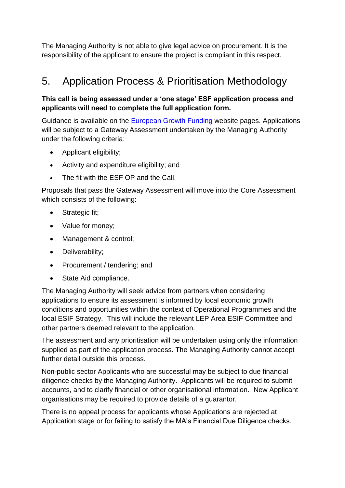The Managing Authority is not able to give legal advice on procurement. It is the responsibility of the applicant to ensure the project is compliant in this respect.

### 5. Application Process & Prioritisation Methodology

#### **This call is being assessed under a 'one stage' ESF application process and applicants will need to complete the full application form.**

Guidance is available on the **European Growth Funding** website pages. Applications will be subject to a Gateway Assessment undertaken by the Managing Authority under the following criteria:

- Applicant eligibility;
- Activity and expenditure eligibility; and
- The fit with the ESF OP and the Call.

Proposals that pass the Gateway Assessment will move into the Core Assessment which consists of the following:

- Strategic fit;
- Value for money;
- Management & control;
- Deliverability:
- Procurement / tendering; and
- State Aid compliance.

The Managing Authority will seek advice from partners when considering applications to ensure its assessment is informed by local economic growth conditions and opportunities within the context of Operational Programmes and the local ESIF Strategy. This will include the relevant LEP Area ESIF Committee and other partners deemed relevant to the application.

The assessment and any prioritisation will be undertaken using only the information supplied as part of the application process. The Managing Authority cannot accept further detail outside this process.

Non-public sector Applicants who are successful may be subject to due financial diligence checks by the Managing Authority. Applicants will be required to submit accounts, and to clarify financial or other organisational information. New Applicant organisations may be required to provide details of a guarantor.

There is no appeal process for applicants whose Applications are rejected at Application stage or for failing to satisfy the MA's Financial Due Diligence checks.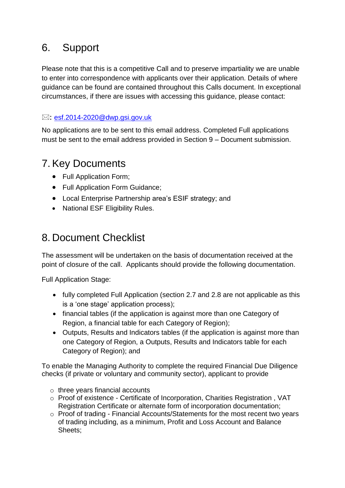## 6. Support

Please note that this is a competitive Call and to preserve impartiality we are unable to enter into correspondence with applicants over their application. Details of where guidance can be found are contained throughout this Calls document. In exceptional circumstances, if there are issues with accessing this guidance, please contact:

#### $\boxtimes$ : [esf.2014-2020@dwp.gsi.gov.uk](mailto:ESF.2014-2020@dwp.gsi.gov.uk)

No applications are to be sent to this email address. Completed Full applications must be sent to the email address provided in Section 9 – Document submission.

### 7. Key Documents

- Full Application Form;
- Full Application Form Guidance;
- Local Enterprise Partnership area's ESIF strategy; and
- National ESF Eligibility Rules.

### 8. Document Checklist

The assessment will be undertaken on the basis of documentation received at the point of closure of the call. Applicants should provide the following documentation.

Full Application Stage:

- fully completed Full Application (section 2.7 and 2.8 are not applicable as this is a 'one stage' application process);
- financial tables (if the application is against more than one Category of Region, a financial table for each Category of Region);
- Outputs, Results and Indicators tables (if the application is against more than one Category of Region, a Outputs, Results and Indicators table for each Category of Region); and

To enable the Managing Authority to complete the required Financial Due Diligence checks (if private or voluntary and community sector), applicant to provide

- o three years financial accounts
- o Proof of existence Certificate of Incorporation, Charities Registration , VAT Registration Certificate or alternate form of incorporation documentation;
- o Proof of trading Financial Accounts/Statements for the most recent two years of trading including, as a minimum, Profit and Loss Account and Balance Sheets;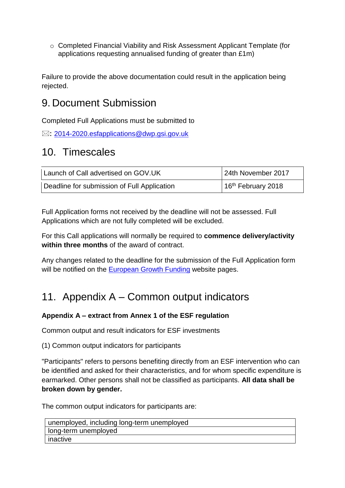o Completed Financial Viability and Risk Assessment Applicant Template (for applications requesting annualised funding of greater than £1m)

Failure to provide the above documentation could result in the application being rejected.

### 9. Document Submission

Completed Full Applications must be submitted to

 $\boxtimes: 2014$ -2020.esfapplications@dwp.gsi.gov.uk

### 10. Timescales

| Launch of Call advertised on GOV.UK         | 24th November 2017   |
|---------------------------------------------|----------------------|
| Deadline for submission of Full Application | $16th$ February 2018 |

Full Application forms not received by the deadline will not be assessed. Full Applications which are not fully completed will be excluded.

For this Call applications will normally be required to **commence delivery/activity within three months** of the award of contract.

Any changes related to the deadline for the submission of the Full Application form will be notified on the [European Growth Funding](https://www.gov.uk/european-growth-funding) website pages.

### 11. Appendix A – Common output indicators

#### **Appendix A – extract from Annex 1 of the ESF regulation**

Common output and result indicators for ESF investments

(1) Common output indicators for participants

"Participants" refers to persons benefiting directly from an ESF intervention who can be identified and asked for their characteristics, and for whom specific expenditure is earmarked. Other persons shall not be classified as participants. **All data shall be broken down by gender.**

The common output indicators for participants are:

| unemployed, including long-term unemployed |
|--------------------------------------------|
| I long-term unemployed                     |
| inactive                                   |